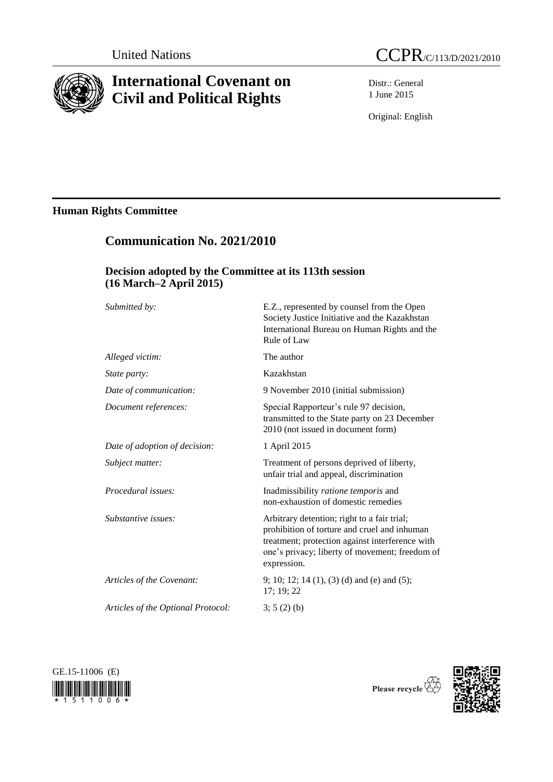

# **International Covenant on Civil and Political Rights**

**Communication No. 2021/2010**

Distr.: General 1 June 2015

Original: English

# **Human Rights Committee**

| Decision adopted by the Committee at its 113th session<br>$(16 \text{ March} - 2 \text{ April } 2015)$ |                                                                                                                                                                                                                 |
|--------------------------------------------------------------------------------------------------------|-----------------------------------------------------------------------------------------------------------------------------------------------------------------------------------------------------------------|
|                                                                                                        |                                                                                                                                                                                                                 |
| Alleged victim:                                                                                        | The author                                                                                                                                                                                                      |
| State party:                                                                                           | Kazakhstan                                                                                                                                                                                                      |
| Date of communication:                                                                                 | 9 November 2010 (initial submission)                                                                                                                                                                            |
| Document references:                                                                                   | Special Rapporteur's rule 97 decision,<br>transmitted to the State party on 23 December<br>2010 (not issued in document form)                                                                                   |
| Date of adoption of decision:                                                                          | 1 April 2015                                                                                                                                                                                                    |
| Subject matter:                                                                                        | Treatment of persons deprived of liberty,<br>unfair trial and appeal, discrimination                                                                                                                            |
| Procedural issues:                                                                                     | Inadmissibility ratione temporis and<br>non-exhaustion of domestic remedies                                                                                                                                     |
| Substantive issues:                                                                                    | Arbitrary detention; right to a fair trial;<br>prohibition of torture and cruel and inhuman<br>treatment; protection against interference with<br>one's privacy; liberty of movement; freedom of<br>expression. |
| Articles of the Covenant:                                                                              | 9; 10; 12; 14 (1), (3) (d) and (e) and (5);<br>17; 19; 22                                                                                                                                                       |
| Articles of the Optional Protocol:                                                                     | $3; 5(2)$ (b)                                                                                                                                                                                                   |





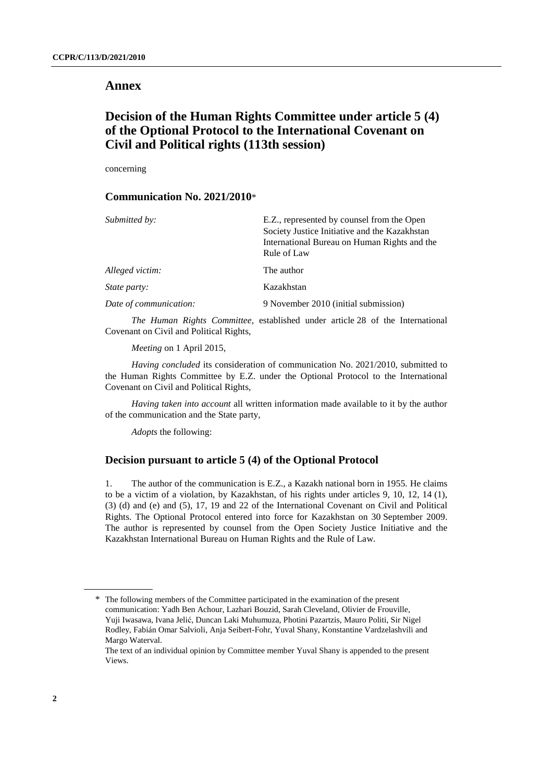# **Annex**

# **Decision of the Human Rights Committee under article 5 (4) of the Optional Protocol to the International Covenant on Civil and Political rights (113th session)**

concerning

### **Communication No. 2021/2010**\*

| Submitted by:          | E.Z., represented by counsel from the Open<br>Society Justice Initiative and the Kazakhstan<br>International Bureau on Human Rights and the<br>Rule of Law |
|------------------------|------------------------------------------------------------------------------------------------------------------------------------------------------------|
| Alleged victim:        | The author                                                                                                                                                 |
| <i>State party:</i>    | Kazakhstan                                                                                                                                                 |
| Date of communication: | 9 November 2010 (initial submission)                                                                                                                       |

*The Human Rights Committee*, established under article 28 of the International Covenant on Civil and Political Rights,

*Meeting* on 1 April 2015,

*Having concluded* its consideration of communication No. 2021/2010, submitted to the Human Rights Committee by E.Z. under the Optional Protocol to the International Covenant on Civil and Political Rights,

*Having taken into account* all written information made available to it by the author of the communication and the State party,

*Adopts* the following:

# **Decision pursuant to article 5 (4) of the Optional Protocol**

1. The author of the communication is E.Z., a Kazakh national born in 1955. He claims to be a victim of a violation, by Kazakhstan, of his rights under articles 9, 10, 12, 14 (1), (3) (d) and (e) and (5), 17, 19 and 22 of the International Covenant on Civil and Political Rights. The Optional Protocol entered into force for Kazakhstan on 30 September 2009. The author is represented by counsel from the Open Society Justice Initiative and the Kazakhstan International Bureau on Human Rights and the Rule of Law.

<sup>\*</sup> The following members of the Committee participated in the examination of the present communication: Yadh Ben Achour, Lazhari Bouzid, Sarah Cleveland, Olivier de Frouville, Yuji Iwasawa, Ivana Jelić, Duncan Laki Muhumuza, Photini Pazartzis, Mauro Politi, Sir Nigel Rodley, Fabián Omar Salvioli, Anja Seibert-Fohr, Yuval Shany, Konstantine Vardzelashvili and Margo Waterval.

The text of an individual opinion by Committee member Yuval Shany is appended to the present Views.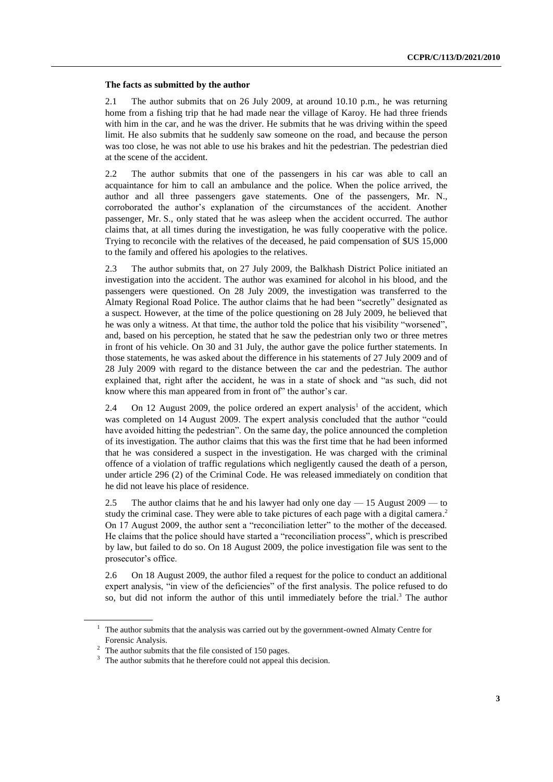#### **The facts as submitted by the author**

2.1 The author submits that on 26 July 2009, at around 10.10 p.m., he was returning home from a fishing trip that he had made near the village of Karoy. He had three friends with him in the car, and he was the driver. He submits that he was driving within the speed limit. He also submits that he suddenly saw someone on the road, and because the person was too close, he was not able to use his brakes and hit the pedestrian. The pedestrian died at the scene of the accident.

2.2 The author submits that one of the passengers in his car was able to call an acquaintance for him to call an ambulance and the police. When the police arrived, the author and all three passengers gave statements. One of the passengers, Mr. N., corroborated the author's explanation of the circumstances of the accident. Another passenger, Mr. S., only stated that he was asleep when the accident occurred. The author claims that, at all times during the investigation, he was fully cooperative with the police. Trying to reconcile with the relatives of the deceased, he paid compensation of \$US 15,000 to the family and offered his apologies to the relatives.

2.3 The author submits that, on 27 July 2009, the Balkhash District Police initiated an investigation into the accident. The author was examined for alcohol in his blood, and the passengers were questioned. On 28 July 2009, the investigation was transferred to the Almaty Regional Road Police. The author claims that he had been "secretly" designated as a suspect. However, at the time of the police questioning on 28 July 2009, he believed that he was only a witness. At that time, the author told the police that his visibility "worsened", and, based on his perception, he stated that he saw the pedestrian only two or three metres in front of his vehicle. On 30 and 31 July, the author gave the police further statements. In those statements, he was asked about the difference in his statements of 27 July 2009 and of 28 July 2009 with regard to the distance between the car and the pedestrian. The author explained that, right after the accident, he was in a state of shock and "as such, did not know where this man appeared from in front of" the author's car.

2.4 On 12 August 2009, the police ordered an expert analysis<sup>1</sup> of the accident, which was completed on 14 August 2009. The expert analysis concluded that the author "could have avoided hitting the pedestrian". On the same day, the police announced the completion of its investigation. The author claims that this was the first time that he had been informed that he was considered a suspect in the investigation. He was charged with the criminal offence of a violation of traffic regulations which negligently caused the death of a person, under article 296 (2) of the Criminal Code. He was released immediately on condition that he did not leave his place of residence.

2.5 The author claims that he and his lawyer had only one day — 15 August 2009 — to study the criminal case. They were able to take pictures of each page with a digital camera.<sup>2</sup> On 17 August 2009, the author sent a "reconciliation letter" to the mother of the deceased. He claims that the police should have started a "reconciliation process", which is prescribed by law, but failed to do so. On 18 August 2009, the police investigation file was sent to the prosecutor's office.

2.6 On 18 August 2009, the author filed a request for the police to conduct an additional expert analysis, "in view of the deficiencies" of the first analysis. The police refused to do so, but did not inform the author of this until immediately before the trial. <sup>3</sup> The author

<sup>&</sup>lt;sup>1</sup> The author submits that the analysis was carried out by the government-owned Almaty Centre for Forensic Analysis.

<sup>&</sup>lt;sup>2</sup> The author submits that the file consisted of 150 pages.

<sup>&</sup>lt;sup>3</sup> The author submits that he therefore could not appeal this decision.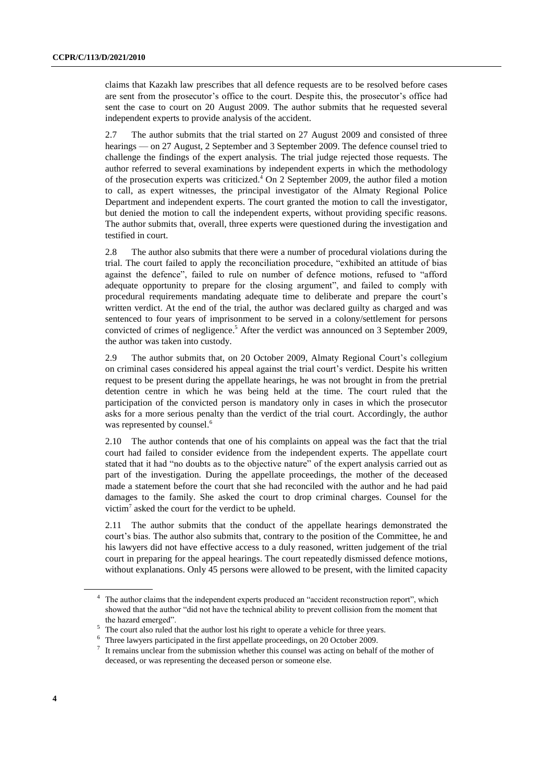claims that Kazakh law prescribes that all defence requests are to be resolved before cases are sent from the prosecutor's office to the court. Despite this, the prosecutor's office had sent the case to court on 20 August 2009. The author submits that he requested several independent experts to provide analysis of the accident.

2.7 The author submits that the trial started on 27 August 2009 and consisted of three hearings — on 27 August, 2 September and 3 September 2009. The defence counsel tried to challenge the findings of the expert analysis. The trial judge rejected those requests. The author referred to several examinations by independent experts in which the methodology of the prosecution experts was criticized. <sup>4</sup> On 2 September 2009, the author filed a motion to call, as expert witnesses, the principal investigator of the Almaty Regional Police Department and independent experts. The court granted the motion to call the investigator, but denied the motion to call the independent experts, without providing specific reasons. The author submits that, overall, three experts were questioned during the investigation and testified in court.

2.8 The author also submits that there were a number of procedural violations during the trial. The court failed to apply the reconciliation procedure, "exhibited an attitude of bias against the defence", failed to rule on number of defence motions, refused to "afford adequate opportunity to prepare for the closing argument", and failed to comply with procedural requirements mandating adequate time to deliberate and prepare the court's written verdict. At the end of the trial, the author was declared guilty as charged and was sentenced to four years of imprisonment to be served in a colony/settlement for persons convicted of crimes of negligence. <sup>5</sup> After the verdict was announced on 3 September 2009, the author was taken into custody.

2.9 The author submits that, on 20 October 2009, Almaty Regional Court's collegium on criminal cases considered his appeal against the trial court's verdict. Despite his written request to be present during the appellate hearings, he was not brought in from the pretrial detention centre in which he was being held at the time. The court ruled that the participation of the convicted person is mandatory only in cases in which the prosecutor asks for a more serious penalty than the verdict of the trial court. Accordingly, the author was represented by counsel.<sup>6</sup>

2.10 The author contends that one of his complaints on appeal was the fact that the trial court had failed to consider evidence from the independent experts. The appellate court stated that it had "no doubts as to the objective nature" of the expert analysis carried out as part of the investigation. During the appellate proceedings, the mother of the deceased made a statement before the court that she had reconciled with the author and he had paid damages to the family. She asked the court to drop criminal charges. Counsel for the victim<sup>7</sup> asked the court for the verdict to be upheld.

2.11 The author submits that the conduct of the appellate hearings demonstrated the court's bias. The author also submits that, contrary to the position of the Committee, he and his lawyers did not have effective access to a duly reasoned, written judgement of the trial court in preparing for the appeal hearings. The court repeatedly dismissed defence motions, without explanations. Only 45 persons were allowed to be present, with the limited capacity

<sup>&</sup>lt;sup>4</sup> The author claims that the independent experts produced an "accident reconstruction report", which showed that the author "did not have the technical ability to prevent collision from the moment that the hazard emerged".

<sup>&</sup>lt;sup>5</sup> The court also ruled that the author lost his right to operate a vehicle for three years.

 $^6$  Three lawyers participated in the first appellate proceedings, on 20 October 2009.

It remains unclear from the submission whether this counsel was acting on behalf of the mother of deceased, or was representing the deceased person or someone else.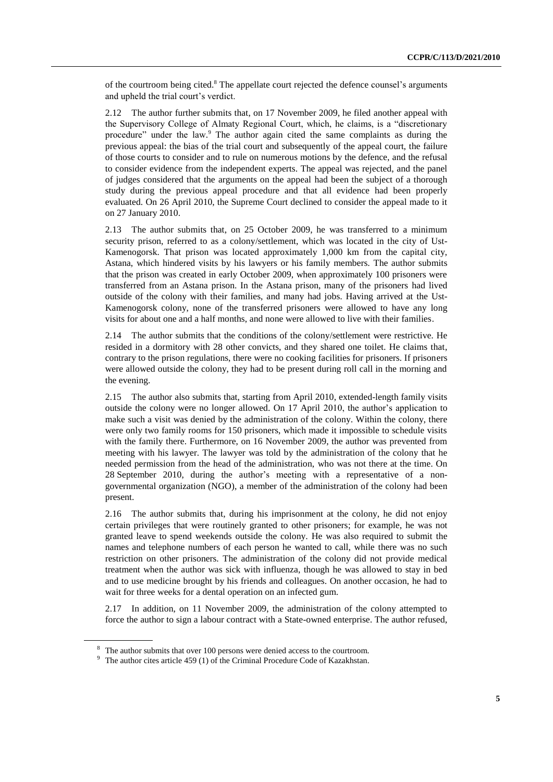of the courtroom being cited.<sup>8</sup> The appellate court rejected the defence counsel's arguments and upheld the trial court's verdict.

2.12 The author further submits that, on 17 November 2009, he filed another appeal with the Supervisory College of Almaty Regional Court, which, he claims, is a "discretionary procedure" under the law. <sup>9</sup> The author again cited the same complaints as during the previous appeal: the bias of the trial court and subsequently of the appeal court, the failure of those courts to consider and to rule on numerous motions by the defence, and the refusal to consider evidence from the independent experts. The appeal was rejected, and the panel of judges considered that the arguments on the appeal had been the subject of a thorough study during the previous appeal procedure and that all evidence had been properly evaluated. On 26 April 2010, the Supreme Court declined to consider the appeal made to it on 27 January 2010.

2.13 The author submits that, on 25 October 2009, he was transferred to a minimum security prison, referred to as a colony/settlement, which was located in the city of Ust-Kamenogorsk. That prison was located approximately 1,000 km from the capital city, Astana, which hindered visits by his lawyers or his family members. The author submits that the prison was created in early October 2009, when approximately 100 prisoners were transferred from an Astana prison. In the Astana prison, many of the prisoners had lived outside of the colony with their families, and many had jobs. Having arrived at the Ust-Kamenogorsk colony, none of the transferred prisoners were allowed to have any long visits for about one and a half months, and none were allowed to live with their families.

2.14 The author submits that the conditions of the colony/settlement were restrictive. He resided in a dormitory with 28 other convicts, and they shared one toilet. He claims that, contrary to the prison regulations, there were no cooking facilities for prisoners. If prisoners were allowed outside the colony, they had to be present during roll call in the morning and the evening.

2.15 The author also submits that, starting from April 2010, extended-length family visits outside the colony were no longer allowed. On 17 April 2010, the author's application to make such a visit was denied by the administration of the colony. Within the colony, there were only two family rooms for 150 prisoners, which made it impossible to schedule visits with the family there. Furthermore, on 16 November 2009, the author was prevented from meeting with his lawyer. The lawyer was told by the administration of the colony that he needed permission from the head of the administration, who was not there at the time. On 28 September 2010, during the author's meeting with a representative of a nongovernmental organization (NGO), a member of the administration of the colony had been present.

2.16 The author submits that, during his imprisonment at the colony, he did not enjoy certain privileges that were routinely granted to other prisoners; for example, he was not granted leave to spend weekends outside the colony. He was also required to submit the names and telephone numbers of each person he wanted to call, while there was no such restriction on other prisoners. The administration of the colony did not provide medical treatment when the author was sick with influenza, though he was allowed to stay in bed and to use medicine brought by his friends and colleagues. On another occasion, he had to wait for three weeks for a dental operation on an infected gum.

2.17 In addition, on 11 November 2009, the administration of the colony attempted to force the author to sign a labour contract with a State-owned enterprise. The author refused,

<sup>&</sup>lt;sup>8</sup> The author submits that over 100 persons were denied access to the courtroom.

<sup>&</sup>lt;sup>9</sup> The author cites article 459 (1) of the Criminal Procedure Code of Kazakhstan.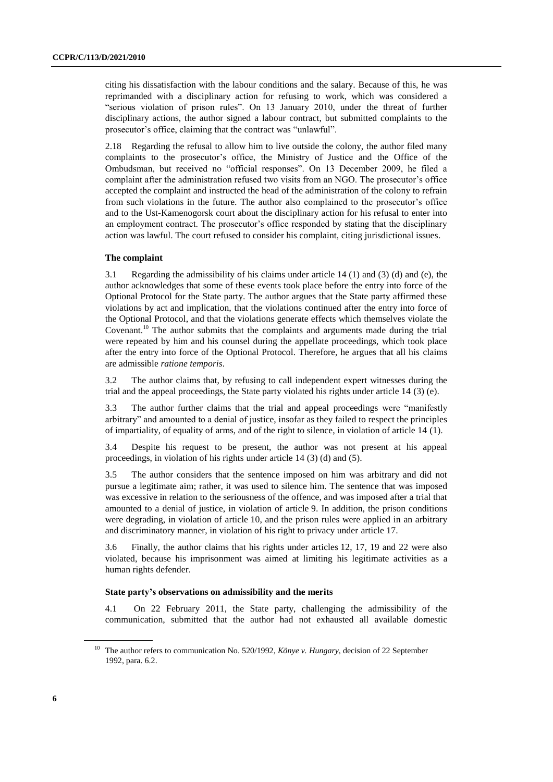citing his dissatisfaction with the labour conditions and the salary. Because of this, he was reprimanded with a disciplinary action for refusing to work, which was considered a "serious violation of prison rules". On 13 January 2010, under the threat of further disciplinary actions, the author signed a labour contract, but submitted complaints to the prosecutor's office, claiming that the contract was "unlawful".

2.18 Regarding the refusal to allow him to live outside the colony, the author filed many complaints to the prosecutor's office, the Ministry of Justice and the Office of the Ombudsman, but received no "official responses". On 13 December 2009, he filed a complaint after the administration refused two visits from an NGO. The prosecutor's office accepted the complaint and instructed the head of the administration of the colony to refrain from such violations in the future. The author also complained to the prosecutor's office and to the Ust-Kamenogorsk court about the disciplinary action for his refusal to enter into an employment contract. The prosecutor's office responded by stating that the disciplinary action was lawful. The court refused to consider his complaint, citing jurisdictional issues.

#### **The complaint**

3.1 Regarding the admissibility of his claims under article 14 (1) and (3) (d) and (e), the author acknowledges that some of these events took place before the entry into force of the Optional Protocol for the State party. The author argues that the State party affirmed these violations by act and implication, that the violations continued after the entry into force of the Optional Protocol, and that the violations generate effects which themselves violate the Covenant.<sup>10</sup> The author submits that the complaints and arguments made during the trial were repeated by him and his counsel during the appellate proceedings, which took place after the entry into force of the Optional Protocol. Therefore, he argues that all his claims are admissible *ratione temporis*.

3.2 The author claims that, by refusing to call independent expert witnesses during the trial and the appeal proceedings, the State party violated his rights under article 14 (3) (e).

3.3 The author further claims that the trial and appeal proceedings were "manifestly arbitrary" and amounted to a denial of justice, insofar as they failed to respect the principles of impartiality, of equality of arms, and of the right to silence, in violation of article 14 (1).

3.4 Despite his request to be present, the author was not present at his appeal proceedings, in violation of his rights under article 14 (3) (d) and (5).

3.5 The author considers that the sentence imposed on him was arbitrary and did not pursue a legitimate aim; rather, it was used to silence him. The sentence that was imposed was excessive in relation to the seriousness of the offence, and was imposed after a trial that amounted to a denial of justice, in violation of article 9. In addition, the prison conditions were degrading, in violation of article 10, and the prison rules were applied in an arbitrary and discriminatory manner, in violation of his right to privacy under article 17.

3.6 Finally, the author claims that his rights under articles 12, 17, 19 and 22 were also violated, because his imprisonment was aimed at limiting his legitimate activities as a human rights defender.

#### **State party's observations on admissibility and the merits**

4.1 On 22 February 2011, the State party, challenging the admissibility of the communication, submitted that the author had not exhausted all available domestic

<sup>10</sup> The author refers to communication No. 520/1992, *Könye v. Hungary*, decision of 22 September 1992, para. 6.2.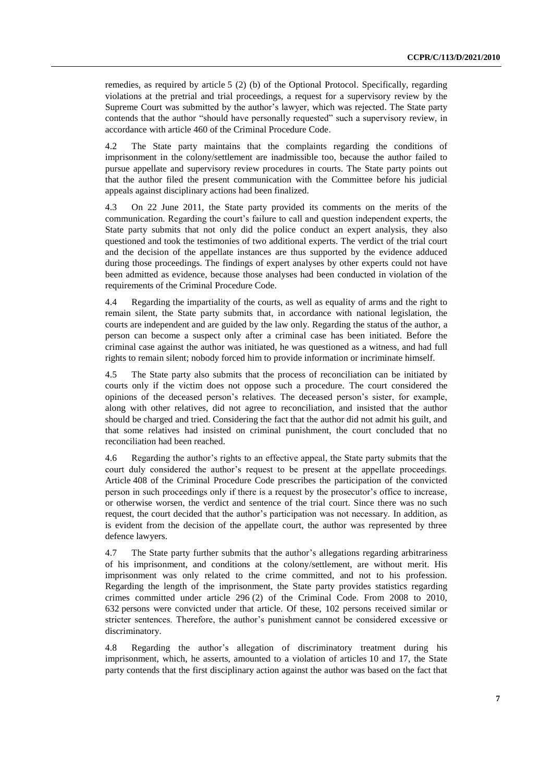remedies, as required by article 5 (2) (b) of the Optional Protocol. Specifically, regarding violations at the pretrial and trial proceedings, a request for a supervisory review by the Supreme Court was submitted by the author's lawyer, which was rejected. The State party contends that the author "should have personally requested" such a supervisory review, in accordance with article 460 of the Criminal Procedure Code.

4.2 The State party maintains that the complaints regarding the conditions of imprisonment in the colony/settlement are inadmissible too, because the author failed to pursue appellate and supervisory review procedures in courts. The State party points out that the author filed the present communication with the Committee before his judicial appeals against disciplinary actions had been finalized.

4.3 On 22 June 2011, the State party provided its comments on the merits of the communication. Regarding the court's failure to call and question independent experts, the State party submits that not only did the police conduct an expert analysis, they also questioned and took the testimonies of two additional experts. The verdict of the trial court and the decision of the appellate instances are thus supported by the evidence adduced during those proceedings. The findings of expert analyses by other experts could not have been admitted as evidence, because those analyses had been conducted in violation of the requirements of the Criminal Procedure Code.

4.4 Regarding the impartiality of the courts, as well as equality of arms and the right to remain silent, the State party submits that, in accordance with national legislation, the courts are independent and are guided by the law only. Regarding the status of the author, a person can become a suspect only after a criminal case has been initiated. Before the criminal case against the author was initiated, he was questioned as a witness, and had full rights to remain silent; nobody forced him to provide information or incriminate himself.

4.5 The State party also submits that the process of reconciliation can be initiated by courts only if the victim does not oppose such a procedure. The court considered the opinions of the deceased person's relatives. The deceased person's sister, for example, along with other relatives, did not agree to reconciliation, and insisted that the author should be charged and tried. Considering the fact that the author did not admit his guilt, and that some relatives had insisted on criminal punishment, the court concluded that no reconciliation had been reached.

4.6 Regarding the author's rights to an effective appeal, the State party submits that the court duly considered the author's request to be present at the appellate proceedings. Article 408 of the Criminal Procedure Code prescribes the participation of the convicted person in such proceedings only if there is a request by the prosecutor's office to increase, or otherwise worsen, the verdict and sentence of the trial court. Since there was no such request, the court decided that the author's participation was not necessary. In addition, as is evident from the decision of the appellate court, the author was represented by three defence lawyers.

4.7 The State party further submits that the author's allegations regarding arbitrariness of his imprisonment, and conditions at the colony/settlement, are without merit. His imprisonment was only related to the crime committed, and not to his profession. Regarding the length of the imprisonment, the State party provides statistics regarding crimes committed under article 296 (2) of the Criminal Code. From 2008 to 2010, 632 persons were convicted under that article. Of these, 102 persons received similar or stricter sentences. Therefore, the author's punishment cannot be considered excessive or discriminatory.

4.8 Regarding the author's allegation of discriminatory treatment during his imprisonment, which, he asserts, amounted to a violation of articles 10 and 17, the State party contends that the first disciplinary action against the author was based on the fact that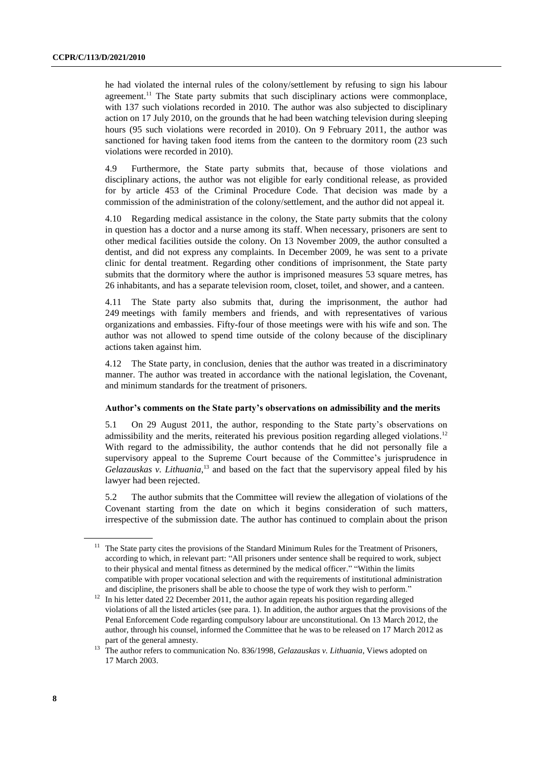he had violated the internal rules of the colony/settlement by refusing to sign his labour agreement.<sup>11</sup> The State party submits that such disciplinary actions were commonplace, with 137 such violations recorded in 2010. The author was also subjected to disciplinary action on 17 July 2010, on the grounds that he had been watching television during sleeping hours (95 such violations were recorded in 2010). On 9 February 2011, the author was sanctioned for having taken food items from the canteen to the dormitory room (23 such violations were recorded in 2010).

4.9 Furthermore, the State party submits that, because of those violations and disciplinary actions, the author was not eligible for early conditional release, as provided for by article 453 of the Criminal Procedure Code. That decision was made by a commission of the administration of the colony/settlement, and the author did not appeal it.

4.10 Regarding medical assistance in the colony, the State party submits that the colony in question has a doctor and a nurse among its staff. When necessary, prisoners are sent to other medical facilities outside the colony. On 13 November 2009, the author consulted a dentist, and did not express any complaints. In December 2009, he was sent to a private clinic for dental treatment. Regarding other conditions of imprisonment, the State party submits that the dormitory where the author is imprisoned measures 53 square metres, has 26 inhabitants, and has a separate television room, closet, toilet, and shower, and a canteen.

4.11 The State party also submits that, during the imprisonment, the author had 249 meetings with family members and friends, and with representatives of various organizations and embassies. Fifty-four of those meetings were with his wife and son. The author was not allowed to spend time outside of the colony because of the disciplinary actions taken against him.

4.12 The State party, in conclusion, denies that the author was treated in a discriminatory manner. The author was treated in accordance with the national legislation, the Covenant, and minimum standards for the treatment of prisoners.

#### **Author's comments on the State party's observations on admissibility and the merits**

5.1 On 29 August 2011, the author, responding to the State party's observations on admissibility and the merits, reiterated his previous position regarding alleged violations.<sup>12</sup> With regard to the admissibility, the author contends that he did not personally file a supervisory appeal to the Supreme Court because of the Committee's jurisprudence in Gelazauskas v. Lithuania,<sup>13</sup> and based on the fact that the supervisory appeal filed by his lawyer had been rejected.

5.2 The author submits that the Committee will review the allegation of violations of the Covenant starting from the date on which it begins consideration of such matters, irrespective of the submission date. The author has continued to complain about the prison

<sup>&</sup>lt;sup>11</sup> The State party cites the provisions of the Standard Minimum Rules for the Treatment of Prisoners, according to which, in relevant part: "All prisoners under sentence shall be required to work, subject to their physical and mental fitness as determined by the medical officer." "Within the limits compatible with proper vocational selection and with the requirements of institutional administration and discipline, the prisoners shall be able to choose the type of work they wish to perform."

<sup>&</sup>lt;sup>12</sup> In his letter dated 22 December 2011, the author again repeats his position regarding alleged violations of all the listed articles (see para. 1). In addition, the author argues that the provisions of the Penal Enforcement Code regarding compulsory labour are unconstitutional. On 13 March 2012, the author, through his counsel, informed the Committee that he was to be released on 17 March 2012 as part of the general amnesty.

<sup>&</sup>lt;sup>13</sup> The author refers to communication No. 836/1998, *Gelazauskas v. Lithuania*, Views adopted on 17 March 2003.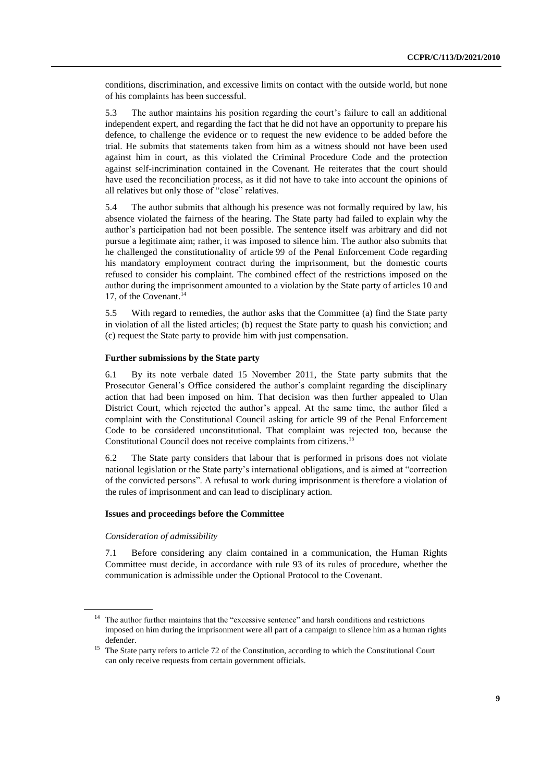conditions, discrimination, and excessive limits on contact with the outside world, but none of his complaints has been successful.

5.3 The author maintains his position regarding the court's failure to call an additional independent expert, and regarding the fact that he did not have an opportunity to prepare his defence, to challenge the evidence or to request the new evidence to be added before the trial. He submits that statements taken from him as a witness should not have been used against him in court, as this violated the Criminal Procedure Code and the protection against self-incrimination contained in the Covenant. He reiterates that the court should have used the reconciliation process, as it did not have to take into account the opinions of all relatives but only those of "close" relatives.

5.4 The author submits that although his presence was not formally required by law, his absence violated the fairness of the hearing. The State party had failed to explain why the author's participation had not been possible. The sentence itself was arbitrary and did not pursue a legitimate aim; rather, it was imposed to silence him. The author also submits that he challenged the constitutionality of article 99 of the Penal Enforcement Code regarding his mandatory employment contract during the imprisonment, but the domestic courts refused to consider his complaint. The combined effect of the restrictions imposed on the author during the imprisonment amounted to a violation by the State party of articles 10 and 17, of the Covenant. 14

5.5 With regard to remedies, the author asks that the Committee (a) find the State party in violation of all the listed articles; (b) request the State party to quash his conviction; and (c) request the State party to provide him with just compensation.

#### **Further submissions by the State party**

6.1 By its note verbale dated 15 November 2011, the State party submits that the Prosecutor General's Office considered the author's complaint regarding the disciplinary action that had been imposed on him. That decision was then further appealed to Ulan District Court, which rejected the author's appeal. At the same time, the author filed a complaint with the Constitutional Council asking for article 99 of the Penal Enforcement Code to be considered unconstitutional. That complaint was rejected too, because the Constitutional Council does not receive complaints from citizens. 15

6.2 The State party considers that labour that is performed in prisons does not violate national legislation or the State party's international obligations, and is aimed at "correction of the convicted persons". A refusal to work during imprisonment is therefore a violation of the rules of imprisonment and can lead to disciplinary action.

### **Issues and proceedings before the Committee**

#### *Consideration of admissibility*

7.1 Before considering any claim contained in a communication, the Human Rights Committee must decide, in accordance with rule 93 of its rules of procedure, whether the communication is admissible under the Optional Protocol to the Covenant.

<sup>&</sup>lt;sup>14</sup> The author further maintains that the "excessive sentence" and harsh conditions and restrictions imposed on him during the imprisonment were all part of a campaign to silence him as a human rights defender.

<sup>&</sup>lt;sup>15</sup> The State party refers to article 72 of the Constitution, according to which the Constitutional Court can only receive requests from certain government officials.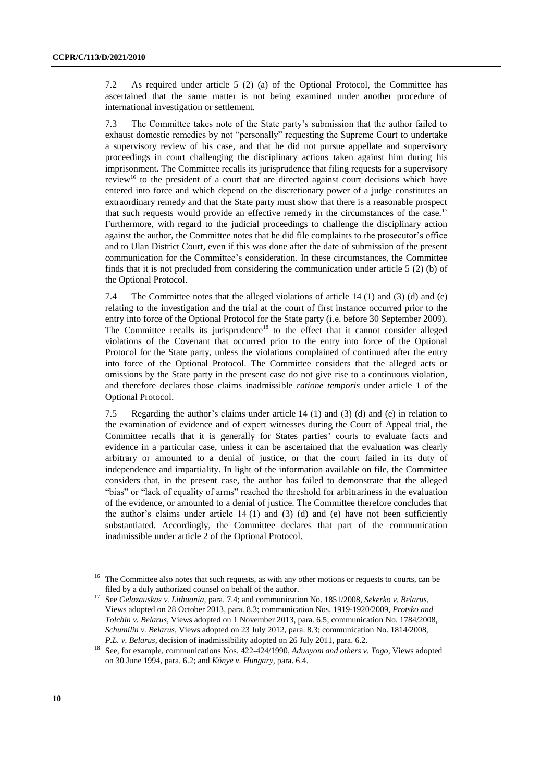7.2 As required under article 5 (2) (a) of the Optional Protocol, the Committee has ascertained that the same matter is not being examined under another procedure of international investigation or settlement.

7.3 The Committee takes note of the State party's submission that the author failed to exhaust domestic remedies by not "personally" requesting the Supreme Court to undertake a supervisory review of his case, and that he did not pursue appellate and supervisory proceedings in court challenging the disciplinary actions taken against him during his imprisonment. The Committee recalls its jurisprudence that filing requests for a supervisory review<sup>16</sup> to the president of a court that are directed against court decisions which have entered into force and which depend on the discretionary power of a judge constitutes an extraordinary remedy and that the State party must show that there is a reasonable prospect that such requests would provide an effective remedy in the circumstances of the case.<sup>17</sup> Furthermore, with regard to the judicial proceedings to challenge the disciplinary action against the author, the Committee notes that he did file complaints to the prosecutor's office and to Ulan District Court, even if this was done after the date of submission of the present communication for the Committee's consideration. In these circumstances, the Committee finds that it is not precluded from considering the communication under article 5 (2) (b) of the Optional Protocol.

7.4 The Committee notes that the alleged violations of article 14 (1) and (3) (d) and (e) relating to the investigation and the trial at the court of first instance occurred prior to the entry into force of the Optional Protocol for the State party (i.e. before 30 September 2009). The Committee recalls its jurisprudence<sup>18</sup> to the effect that it cannot consider alleged violations of the Covenant that occurred prior to the entry into force of the Optional Protocol for the State party, unless the violations complained of continued after the entry into force of the Optional Protocol. The Committee considers that the alleged acts or omissions by the State party in the present case do not give rise to a continuous violation, and therefore declares those claims inadmissible *ratione temporis* under article 1 of the Optional Protocol.

7.5 Regarding the author's claims under article 14 (1) and (3) (d) and (e) in relation to the examination of evidence and of expert witnesses during the Court of Appeal trial, the Committee recalls that it is generally for States parties' courts to evaluate facts and evidence in a particular case, unless it can be ascertained that the evaluation was clearly arbitrary or amounted to a denial of justice, or that the court failed in its duty of independence and impartiality. In light of the information available on file, the Committee considers that, in the present case, the author has failed to demonstrate that the alleged "bias" or "lack of equality of arms" reached the threshold for arbitrariness in the evaluation of the evidence, or amounted to a denial of justice. The Committee therefore concludes that the author's claims under article  $14 (1)$  and  $(3) (d)$  and  $(e)$  have not been sufficiently substantiated. Accordingly, the Committee declares that part of the communication inadmissible under article 2 of the Optional Protocol.

<sup>&</sup>lt;sup>16</sup> The Committee also notes that such requests, as with any other motions or requests to courts, can be filed by a duly authorized counsel on behalf of the author.

<sup>17</sup> See *Gelazauskas v. Lithuania*, para. 7.4; and communication No. 1851/2008, *Sekerko v. Belarus*, Views adopted on 28 October 2013, para. 8.3; communication Nos. 1919-1920/2009, *Protsko and Tolchin v. Belarus*, Views adopted on 1 November 2013, para. 6.5; communication No. 1784/2008, *Schumilin v. Belarus*, Views adopted on 23 July 2012, para. 8.3; communication No. 1814/2008, *P.L. v. Belarus*, decision of inadmissibility adopted on 26 July 2011, para. 6.2.

<sup>18</sup> See, for example, communications Nos. 422-424/1990, *Aduayom and others v. Togo*, Views adopted on 30 June 1994, para. 6.2; and *Könye v. Hungary*, para. 6.4.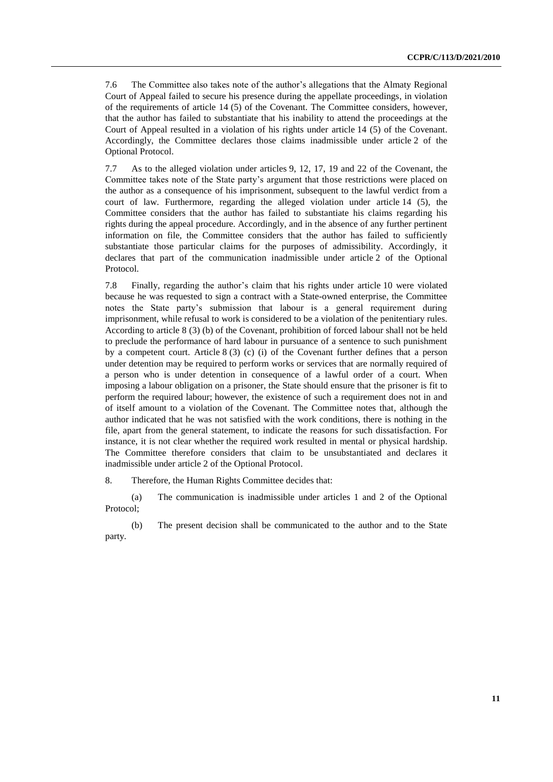7.6 The Committee also takes note of the author's allegations that the Almaty Regional Court of Appeal failed to secure his presence during the appellate proceedings, in violation of the requirements of article 14 (5) of the Covenant. The Committee considers, however, that the author has failed to substantiate that his inability to attend the proceedings at the Court of Appeal resulted in a violation of his rights under article 14 (5) of the Covenant. Accordingly, the Committee declares those claims inadmissible under article 2 of the Optional Protocol.

7.7 As to the alleged violation under articles 9, 12, 17, 19 and 22 of the Covenant, the Committee takes note of the State party's argument that those restrictions were placed on the author as a consequence of his imprisonment, subsequent to the lawful verdict from a court of law. Furthermore, regarding the alleged violation under article 14 (5), the Committee considers that the author has failed to substantiate his claims regarding his rights during the appeal procedure. Accordingly, and in the absence of any further pertinent information on file, the Committee considers that the author has failed to sufficiently substantiate those particular claims for the purposes of admissibility. Accordingly, it declares that part of the communication inadmissible under article 2 of the Optional Protocol.

7.8 Finally, regarding the author's claim that his rights under article 10 were violated because he was requested to sign a contract with a State-owned enterprise, the Committee notes the State party's submission that labour is a general requirement during imprisonment, while refusal to work is considered to be a violation of the penitentiary rules. According to article 8 (3) (b) of the Covenant, prohibition of forced labour shall not be held to preclude the performance of hard labour in pursuance of a sentence to such punishment by a competent court. Article  $8(3)$  (c) (i) of the Covenant further defines that a person under detention may be required to perform works or services that are normally required of a person who is under detention in consequence of a lawful order of a court. When imposing a labour obligation on a prisoner, the State should ensure that the prisoner is fit to perform the required labour; however, the existence of such a requirement does not in and of itself amount to a violation of the Covenant. The Committee notes that, although the author indicated that he was not satisfied with the work conditions, there is nothing in the file, apart from the general statement, to indicate the reasons for such dissatisfaction. For instance, it is not clear whether the required work resulted in mental or physical hardship. The Committee therefore considers that claim to be unsubstantiated and declares it inadmissible under article 2 of the Optional Protocol.

8. Therefore, the Human Rights Committee decides that:

(a) The communication is inadmissible under articles 1 and 2 of the Optional Protocol;

(b) The present decision shall be communicated to the author and to the State party.